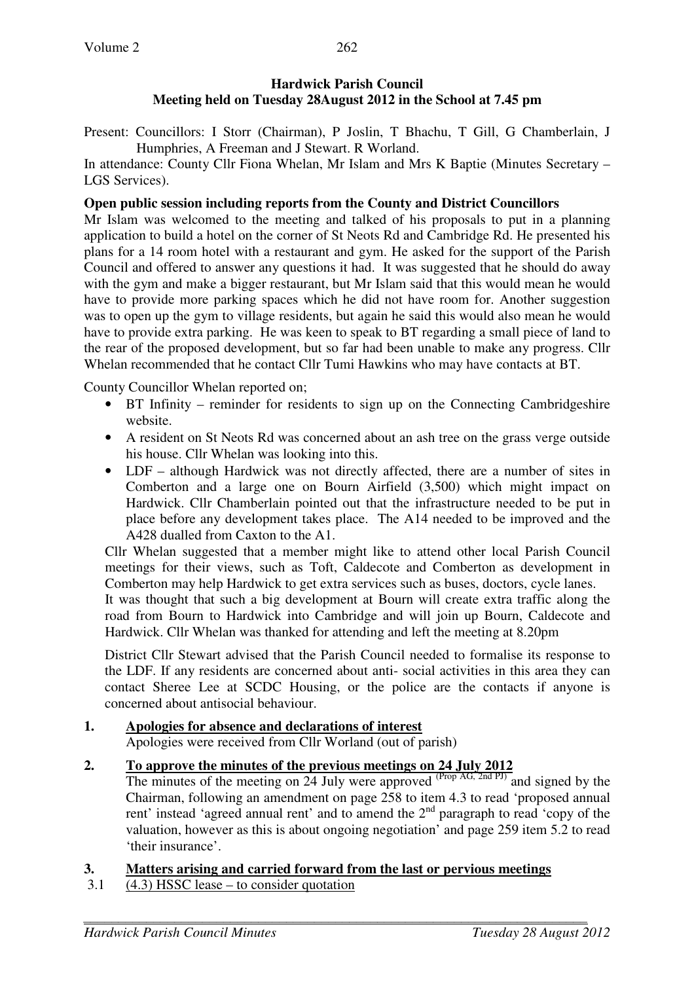# **Hardwick Parish Council Meeting held on Tuesday 28August 2012 in the School at 7.45 pm**

Present: Councillors: I Storr (Chairman), P Joslin, T Bhachu, T Gill, G Chamberlain, J Humphries, A Freeman and J Stewart. R Worland.

In attendance: County Cllr Fiona Whelan, Mr Islam and Mrs K Baptie (Minutes Secretary – LGS Services).

# **Open public session including reports from the County and District Councillors**

Mr Islam was welcomed to the meeting and talked of his proposals to put in a planning application to build a hotel on the corner of St Neots Rd and Cambridge Rd. He presented his plans for a 14 room hotel with a restaurant and gym. He asked for the support of the Parish Council and offered to answer any questions it had. It was suggested that he should do away with the gym and make a bigger restaurant, but Mr Islam said that this would mean he would have to provide more parking spaces which he did not have room for. Another suggestion was to open up the gym to village residents, but again he said this would also mean he would have to provide extra parking. He was keen to speak to BT regarding a small piece of land to the rear of the proposed development, but so far had been unable to make any progress. Cllr Whelan recommended that he contact Cllr Tumi Hawkins who may have contacts at BT.

County Councillor Whelan reported on;

- BT Infinity reminder for residents to sign up on the Connecting Cambridgeshire website.
- A resident on St Neots Rd was concerned about an ash tree on the grass verge outside his house. Cllr Whelan was looking into this.
- LDF although Hardwick was not directly affected, there are a number of sites in Comberton and a large one on Bourn Airfield (3,500) which might impact on Hardwick. Cllr Chamberlain pointed out that the infrastructure needed to be put in place before any development takes place. The A14 needed to be improved and the A428 dualled from Caxton to the A1.

Cllr Whelan suggested that a member might like to attend other local Parish Council meetings for their views, such as Toft, Caldecote and Comberton as development in Comberton may help Hardwick to get extra services such as buses, doctors, cycle lanes.

It was thought that such a big development at Bourn will create extra traffic along the road from Bourn to Hardwick into Cambridge and will join up Bourn, Caldecote and Hardwick. Cllr Whelan was thanked for attending and left the meeting at 8.20pm

District Cllr Stewart advised that the Parish Council needed to formalise its response to the LDF. If any residents are concerned about anti- social activities in this area they can contact Sheree Lee at SCDC Housing, or the police are the contacts if anyone is concerned about antisocial behaviour.

#### **1. Apologies for absence and declarations of interest** Apologies were received from Cllr Worland (out of parish)

# **2. To approve the minutes of the previous meetings on 24 July 2012**

The minutes of the meeting on 24 July were approved  $(\text{Prop AG}, \text{2nd PJ})$  and signed by the Chairman, following an amendment on page 258 to item 4.3 to read 'proposed annual rent' instead 'agreed annual rent' and to amend the  $2<sup>nd</sup>$  paragraph to read 'copy of the valuation, however as this is about ongoing negotiation' and page 259 item 5.2 to read 'their insurance'.

# **3. Matters arising and carried forward from the last or pervious meetings**

3.1 (4.3) HSSC lease – to consider quotation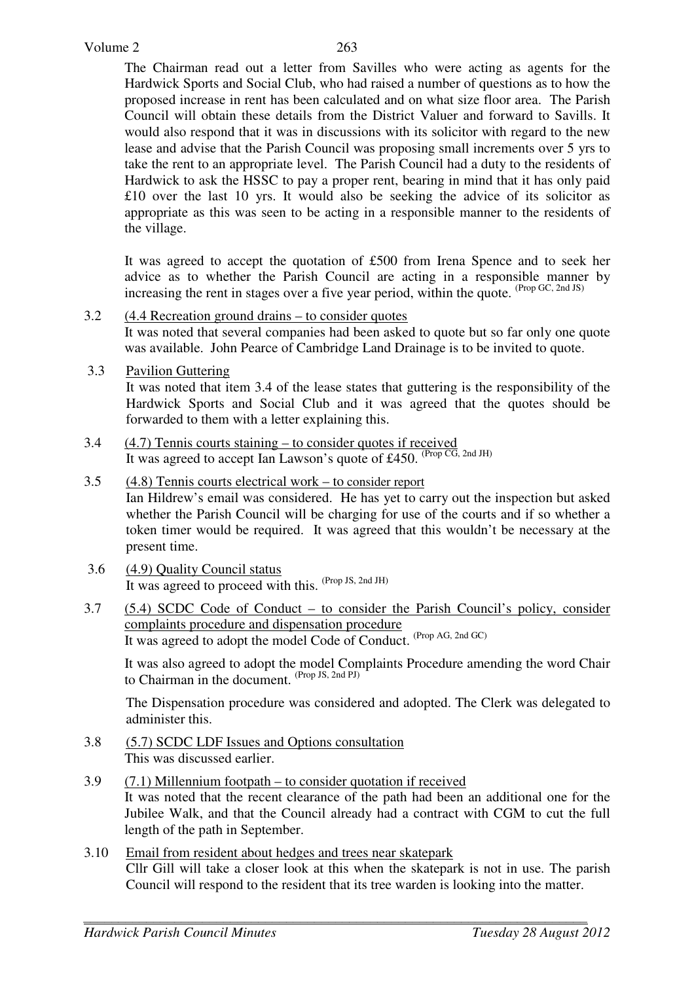The Chairman read out a letter from Savilles who were acting as agents for the Hardwick Sports and Social Club, who had raised a number of questions as to how the proposed increase in rent has been calculated and on what size floor area. The Parish Council will obtain these details from the District Valuer and forward to Savills. It would also respond that it was in discussions with its solicitor with regard to the new lease and advise that the Parish Council was proposing small increments over 5 yrs to take the rent to an appropriate level. The Parish Council had a duty to the residents of Hardwick to ask the HSSC to pay a proper rent, bearing in mind that it has only paid £10 over the last 10 yrs. It would also be seeking the advice of its solicitor as appropriate as this was seen to be acting in a responsible manner to the residents of the village.

 It was agreed to accept the quotation of £500 from Irena Spence and to seek her advice as to whether the Parish Council are acting in a responsible manner by increasing the rent in stages over a five year period, within the quote.  $(\text{Prop }GC, \text{2nd }JS)$ 

- 3.2 (4.4 Recreation ground drains to consider quotes It was noted that several companies had been asked to quote but so far only one quote was available. John Pearce of Cambridge Land Drainage is to be invited to quote.
- 3.3 Pavilion Guttering

 It was noted that item 3.4 of the lease states that guttering is the responsibility of the Hardwick Sports and Social Club and it was agreed that the quotes should be forwarded to them with a letter explaining this.

- 3.4 (4.7) Tennis courts staining to consider quotes if received It was agreed to accept Ian Lawson's quote of £450. <sup>(Prop CG, 2nd JH)</sup>
- 3.5 (4.8) Tennis courts electrical work to consider report Ian Hildrew's email was considered. He has yet to carry out the inspection but asked whether the Parish Council will be charging for use of the courts and if so whether a token timer would be required. It was agreed that this wouldn't be necessary at the present time.
- 3.6 (4.9) Quality Council status It was agreed to proceed with this. (Prop JS, 2nd JH)
- 3.7 (5.4) SCDC Code of Conduct to consider the Parish Council's policy, consider complaints procedure and dispensation procedure It was agreed to adopt the model Code of Conduct. (Prop AG, 2nd GC)

It was also agreed to adopt the model Complaints Procedure amending the word Chair to Chairman in the document. <sup>(Prop JS, 2nd PJ)</sup>

The Dispensation procedure was considered and adopted. The Clerk was delegated to administer this.

- 3.8 (5.7) SCDC LDF Issues and Options consultation This was discussed earlier.
- 3.9 (7.1) Millennium footpath to consider quotation if received It was noted that the recent clearance of the path had been an additional one for the Jubilee Walk, and that the Council already had a contract with CGM to cut the full length of the path in September.
- 3.10 Email from resident about hedges and trees near skatepark Cllr Gill will take a closer look at this when the skatepark is not in use. The parish Council will respond to the resident that its tree warden is looking into the matter.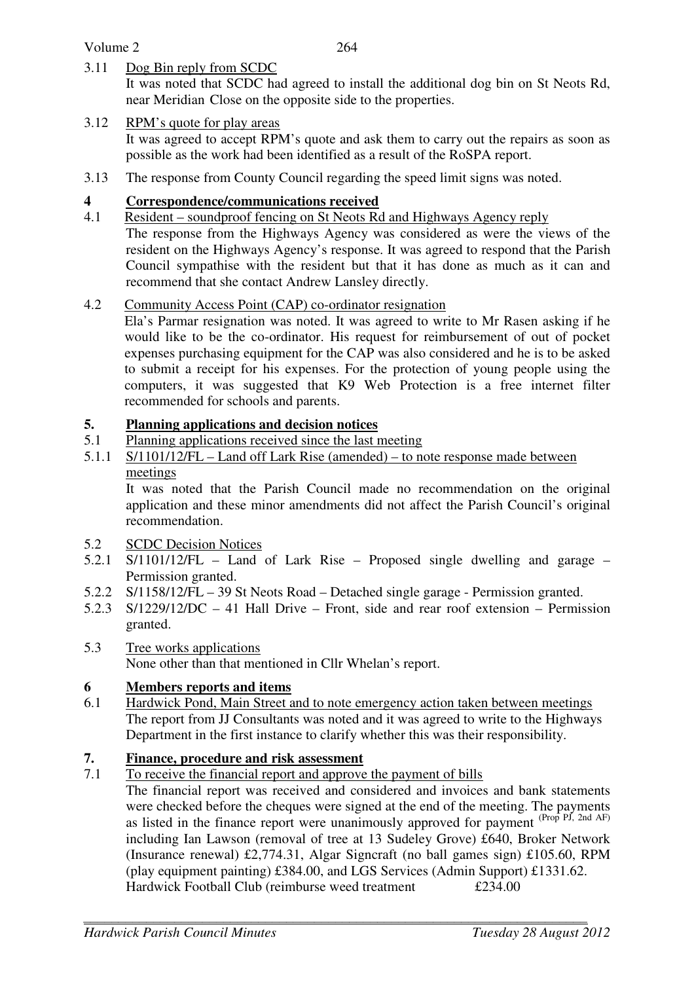#### Volume 2

3.11 Dog Bin reply from SCDC

It was noted that SCDC had agreed to install the additional dog bin on St Neots Rd, near Meridian Close on the opposite side to the properties.

# 3.12 RPM's quote for play areas

It was agreed to accept RPM's quote and ask them to carry out the repairs as soon as possible as the work had been identified as a result of the RoSPA report.

3.13 The response from County Council regarding the speed limit signs was noted.

# **4 Correspondence/communications received**

4.1 Resident – soundproof fencing on St Neots Rd and Highways Agency reply The response from the Highways Agency was considered as were the views of the resident on the Highways Agency's response. It was agreed to respond that the Parish Council sympathise with the resident but that it has done as much as it can and recommend that she contact Andrew Lansley directly.

# 4.2 Community Access Point (CAP) co-ordinator resignation

 Ela's Parmar resignation was noted. It was agreed to write to Mr Rasen asking if he would like to be the co-ordinator. His request for reimbursement of out of pocket expenses purchasing equipment for the CAP was also considered and he is to be asked to submit a receipt for his expenses. For the protection of young people using the computers, it was suggested that K9 Web Protection is a free internet filter recommended for schools and parents.

# **5. Planning applications and decision notices**

- 5.1 Planning applications received since the last meeting
- 5.1.1 S/1101/12/FL Land off Lark Rise (amended) to note response made between meetings

It was noted that the Parish Council made no recommendation on the original application and these minor amendments did not affect the Parish Council's original recommendation.

- 5.2 SCDC Decision Notices
- 5.2.1 S/1101/12/FL Land of Lark Rise Proposed single dwelling and garage Permission granted.
- 5.2.2 S/1158/12/FL 39 St Neots Road Detached single garage Permission granted.
- 5.2.3 S/1229/12/DC 41 Hall Drive Front, side and rear roof extension Permission granted.
- 5.3 Tree works applications None other than that mentioned in Cllr Whelan's report.

# **6 Members reports and items**

6.1 Hardwick Pond, Main Street and to note emergency action taken between meetings The report from JJ Consultants was noted and it was agreed to write to the Highways Department in the first instance to clarify whether this was their responsibility.

# **7. Finance, procedure and risk assessment**

7.1 To receive the financial report and approve the payment of bills

The financial report was received and considered and invoices and bank statements were checked before the cheques were signed at the end of the meeting. The payments as listed in the finance report were unanimously approved for payment  $(\text{Prop PJ}, \text{2nd AF})$ including Ian Lawson (removal of tree at 13 Sudeley Grove) £640, Broker Network (Insurance renewal) £2,774.31, Algar Signcraft (no ball games sign) £105.60, RPM (play equipment painting) £384.00, and LGS Services (Admin Support) £1331.62. Hardwick Football Club (reimburse weed treatment £234.00